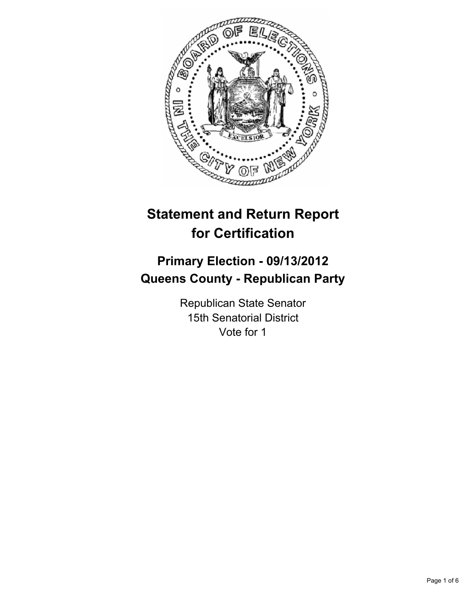

# **Statement and Return Report for Certification**

# **Primary Election - 09/13/2012 Queens County - Republican Party**

Republican State Senator 15th Senatorial District Vote for 1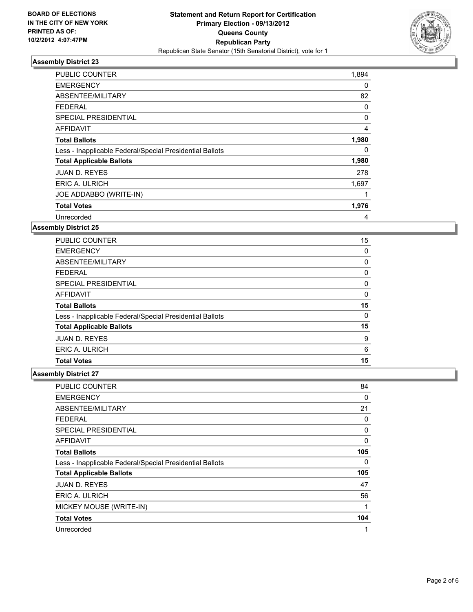

| <b>PUBLIC COUNTER</b>                                    | 1,894 |
|----------------------------------------------------------|-------|
| <b>EMERGENCY</b>                                         | 0     |
| ABSENTEE/MILITARY                                        | 82    |
| <b>FEDERAL</b>                                           | 0     |
| SPECIAL PRESIDENTIAL                                     | 0     |
| AFFIDAVIT                                                | 4     |
| <b>Total Ballots</b>                                     | 1,980 |
| Less - Inapplicable Federal/Special Presidential Ballots | 0     |
| <b>Total Applicable Ballots</b>                          | 1,980 |
| <b>JUAN D. REYES</b>                                     | 278   |
| ERIC A. ULRICH                                           | 1,697 |
| JOE ADDABBO (WRITE-IN)                                   |       |
| <b>Total Votes</b>                                       | 1,976 |
| Unrecorded                                               | 4     |

## **Assembly District 25**

| <b>PUBLIC COUNTER</b>                                    | 15 |
|----------------------------------------------------------|----|
| <b>EMERGENCY</b>                                         | 0  |
| ABSENTEE/MILITARY                                        | 0  |
| <b>FEDERAL</b>                                           | 0  |
| SPECIAL PRESIDENTIAL                                     | 0  |
| AFFIDAVIT                                                | 0  |
| <b>Total Ballots</b>                                     | 15 |
| Less - Inapplicable Federal/Special Presidential Ballots | 0  |
| <b>Total Applicable Ballots</b>                          | 15 |
| <b>JUAN D. REYES</b>                                     | 9  |
| ERIC A. ULRICH                                           | 6  |
| <b>Total Votes</b>                                       | 15 |

| PUBLIC COUNTER                                           | 84  |
|----------------------------------------------------------|-----|
| <b>EMERGENCY</b>                                         | 0   |
| ABSENTEE/MILITARY                                        | 21  |
| <b>FEDERAL</b>                                           | 0   |
| <b>SPECIAL PRESIDENTIAL</b>                              | 0   |
| <b>AFFIDAVIT</b>                                         | 0   |
| <b>Total Ballots</b>                                     | 105 |
| Less - Inapplicable Federal/Special Presidential Ballots | 0   |
| <b>Total Applicable Ballots</b>                          | 105 |
| <b>JUAN D. REYES</b>                                     | 47  |
| ERIC A. ULRICH                                           | 56  |
| MICKEY MOUSE (WRITE-IN)                                  | 1   |
| <b>Total Votes</b>                                       | 104 |
| Unrecorded                                               | 1   |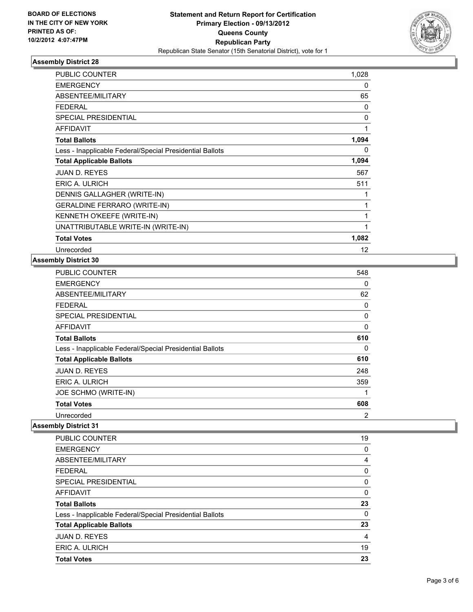

| <b>PUBLIC COUNTER</b>                                    | 1,028    |
|----------------------------------------------------------|----------|
| <b>EMERGENCY</b>                                         | 0        |
| ABSENTEE/MILITARY                                        | 65       |
| <b>FEDERAL</b>                                           | 0        |
| <b>SPECIAL PRESIDENTIAL</b>                              | 0        |
| <b>AFFIDAVIT</b>                                         | 1        |
| <b>Total Ballots</b>                                     | 1,094    |
| Less - Inapplicable Federal/Special Presidential Ballots | $\Omega$ |
| <b>Total Applicable Ballots</b>                          | 1,094    |
| <b>JUAN D. REYES</b>                                     | 567      |
| ERIC A. ULRICH                                           | 511      |
| DENNIS GALLAGHER (WRITE-IN)                              | 1        |
| GERALDINE FERRARO (WRITE-IN)                             | 1        |
| KENNETH O'KEEFE (WRITE-IN)                               | 1        |
| UNATTRIBUTABLE WRITE-IN (WRITE-IN)                       | 1        |
| <b>Total Votes</b>                                       | 1,082    |
| Unrecorded                                               | 12       |

# **Assembly District 30**

| <b>PUBLIC COUNTER</b>                                    | 548 |
|----------------------------------------------------------|-----|
| <b>EMERGENCY</b>                                         | 0   |
| ABSENTEE/MILITARY                                        | 62  |
| <b>FEDERAL</b>                                           | 0   |
| <b>SPECIAL PRESIDENTIAL</b>                              | 0   |
| <b>AFFIDAVIT</b>                                         | 0   |
| <b>Total Ballots</b>                                     | 610 |
| Less - Inapplicable Federal/Special Presidential Ballots | 0   |
| <b>Total Applicable Ballots</b>                          | 610 |
| JUAN D. REYES                                            | 248 |
| ERIC A. ULRICH                                           | 359 |
| JOE SCHMO (WRITE-IN)                                     | 1   |
| <b>Total Votes</b>                                       | 608 |
| Unrecorded                                               | 2   |

| PUBLIC COUNTER                                           | 19 |
|----------------------------------------------------------|----|
| <b>EMERGENCY</b>                                         | 0  |
| ABSENTEE/MILITARY                                        | 4  |
| <b>FEDERAL</b>                                           | 0  |
| SPECIAL PRESIDENTIAL                                     | 0  |
| <b>AFFIDAVIT</b>                                         | 0  |
|                                                          |    |
| <b>Total Ballots</b>                                     | 23 |
| Less - Inapplicable Federal/Special Presidential Ballots | 0  |
| <b>Total Applicable Ballots</b>                          | 23 |
| <b>JUAN D. REYES</b>                                     | 4  |
| ERIC A. ULRICH                                           | 19 |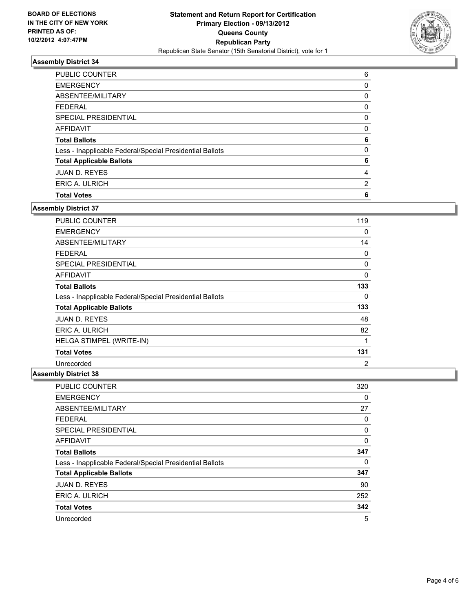

| PUBLIC COUNTER                                           | 6        |
|----------------------------------------------------------|----------|
| <b>EMERGENCY</b>                                         | 0        |
| ABSENTEE/MILITARY                                        | 0        |
| <b>FEDERAL</b>                                           | 0        |
| SPECIAL PRESIDENTIAL                                     | 0        |
| AFFIDAVIT                                                | 0        |
| <b>Total Ballots</b>                                     | 6        |
| Less - Inapplicable Federal/Special Presidential Ballots | $\Omega$ |
| <b>Total Applicable Ballots</b>                          | 6        |
| <b>JUAN D. REYES</b>                                     | 4        |
| ERIC A. ULRICH                                           | 2        |
| <b>Total Votes</b>                                       | 6        |

# **Assembly District 37**

| PUBLIC COUNTER                                           | 119 |
|----------------------------------------------------------|-----|
| <b>EMERGENCY</b>                                         | 0   |
| ABSENTEE/MILITARY                                        | 14  |
| <b>FEDERAL</b>                                           | 0   |
| <b>SPECIAL PRESIDENTIAL</b>                              | 0   |
| <b>AFFIDAVIT</b>                                         | 0   |
| <b>Total Ballots</b>                                     | 133 |
| Less - Inapplicable Federal/Special Presidential Ballots | 0   |
| <b>Total Applicable Ballots</b>                          | 133 |
| <b>JUAN D. REYES</b>                                     | 48  |
| <b>ERIC A. ULRICH</b>                                    | 82  |
| HELGA STIMPEL (WRITE-IN)                                 | 1   |
| <b>Total Votes</b>                                       | 131 |
| Unrecorded                                               | 2   |

| <b>PUBLIC COUNTER</b>                                    | 320      |
|----------------------------------------------------------|----------|
| <b>EMERGENCY</b>                                         | 0        |
| ABSENTEE/MILITARY                                        | 27       |
| <b>FEDERAL</b>                                           | 0        |
| SPECIAL PRESIDENTIAL                                     | 0        |
| <b>AFFIDAVIT</b>                                         | $\Omega$ |
| <b>Total Ballots</b>                                     | 347      |
| Less - Inapplicable Federal/Special Presidential Ballots | 0        |
| <b>Total Applicable Ballots</b>                          | 347      |
| <b>JUAN D. REYES</b>                                     | 90       |
| ERIC A. ULRICH                                           | 252      |
| <b>Total Votes</b>                                       | 342      |
| Unrecorded                                               | 5        |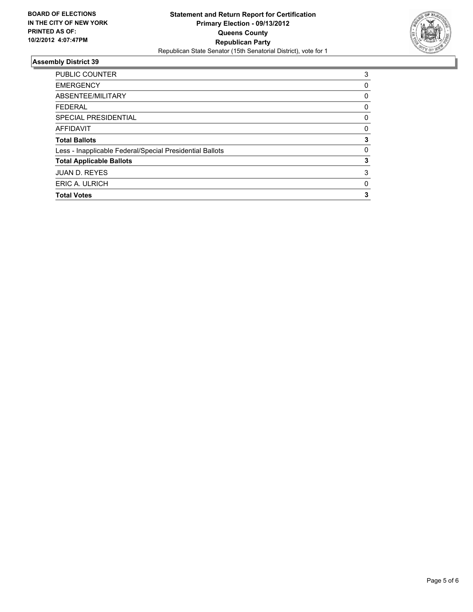

| <b>PUBLIC COUNTER</b>                                    | 3        |
|----------------------------------------------------------|----------|
| <b>EMERGENCY</b>                                         | 0        |
| ABSENTEE/MILITARY                                        | 0        |
| <b>FEDERAL</b>                                           | 0        |
| SPECIAL PRESIDENTIAL                                     | 0        |
| <b>AFFIDAVIT</b>                                         | 0        |
| <b>Total Ballots</b>                                     | 3        |
| Less - Inapplicable Federal/Special Presidential Ballots | $\Omega$ |
| <b>Total Applicable Ballots</b>                          | 3        |
| <b>JUAN D. REYES</b>                                     | 3        |
| ERIC A. ULRICH                                           | 0        |
| <b>Total Votes</b>                                       | 3        |